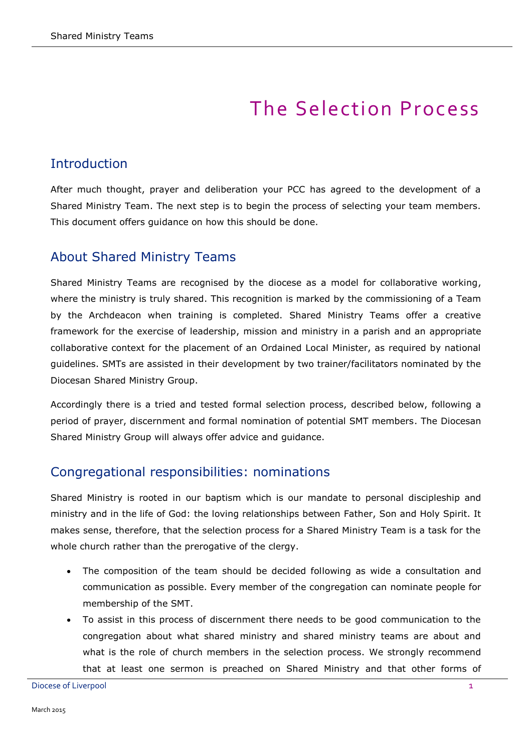# The Selection Process

## Introduction

After much thought, prayer and deliberation your PCC has agreed to the development of a Shared Ministry Team. The next step is to begin the process of selecting your team members. This document offers guidance on how this should be done.

## About Shared Ministry Teams

Shared Ministry Teams are recognised by the diocese as a model for collaborative working, where the ministry is truly shared. This recognition is marked by the commissioning of a Team by the Archdeacon when training is completed. Shared Ministry Teams offer a creative framework for the exercise of leadership, mission and ministry in a parish and an appropriate collaborative context for the placement of an Ordained Local Minister, as required by national guidelines. SMTs are assisted in their development by two trainer/facilitators nominated by the Diocesan Shared Ministry Group.

Accordingly there is a tried and tested formal selection process, described below, following a period of prayer, discernment and formal nomination of potential SMT members. The Diocesan Shared Ministry Group will always offer advice and guidance.

#### Congregational responsibilities: nominations

Shared Ministry is rooted in our baptism which is our mandate to personal discipleship and ministry and in the life of God: the loving relationships between Father, Son and Holy Spirit. It makes sense, therefore, that the selection process for a Shared Ministry Team is a task for the whole church rather than the prerogative of the clergy.

- The composition of the team should be decided following as wide a consultation and communication as possible. Every member of the congregation can nominate people for membership of the SMT.
- To assist in this process of discernment there needs to be good communication to the congregation about what shared ministry and shared ministry teams are about and what is the role of church members in the selection process. We strongly recommend that at least one sermon is preached on Shared Ministry and that other forms of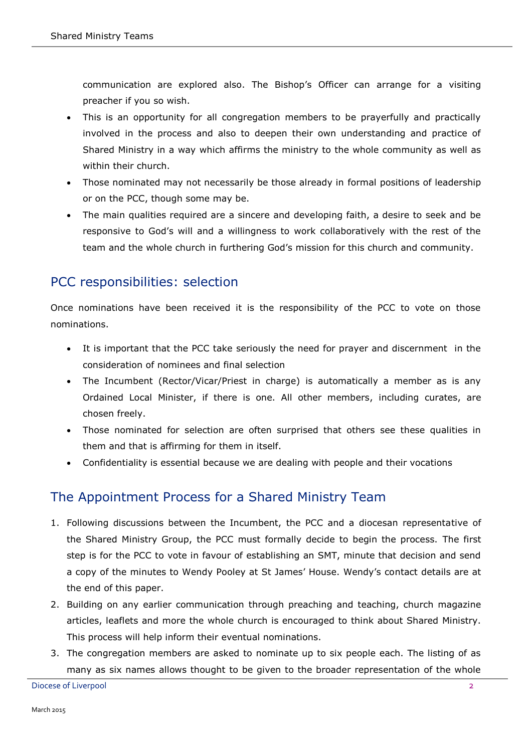communication are explored also. The Bishop's Officer can arrange for a visiting preacher if you so wish.

- This is an opportunity for all congregation members to be prayerfully and practically involved in the process and also to deepen their own understanding and practice of Shared Ministry in a way which affirms the ministry to the whole community as well as within their church.
- Those nominated may not necessarily be those already in formal positions of leadership or on the PCC, though some may be.
- The main qualities required are a sincere and developing faith, a desire to seek and be responsive to God's will and a willingness to work collaboratively with the rest of the team and the whole church in furthering God's mission for this church and community.

# PCC responsibilities: selection

Once nominations have been received it is the responsibility of the PCC to vote on those nominations.

- It is important that the PCC take seriously the need for prayer and discernment in the consideration of nominees and final selection
- The Incumbent (Rector/Vicar/Priest in charge) is automatically a member as is any Ordained Local Minister, if there is one. All other members, including curates, are chosen freely.
- Those nominated for selection are often surprised that others see these qualities in them and that is affirming for them in itself.
- Confidentiality is essential because we are dealing with people and their vocations

# The Appointment Process for a Shared Ministry Team

- 1. Following discussions between the Incumbent, the PCC and a diocesan representative of the Shared Ministry Group, the PCC must formally decide to begin the process. The first step is for the PCC to vote in favour of establishing an SMT, minute that decision and send a copy of the minutes to Wendy Pooley at St James' House. Wendy's contact details are at the end of this paper.
- 2. Building on any earlier communication through preaching and teaching, church magazine articles, leaflets and more the whole church is encouraged to think about Shared Ministry. This process will help inform their eventual nominations.
- 3. The congregation members are asked to nominate up to six people each. The listing of as many as six names allows thought to be given to the broader representation of the whole